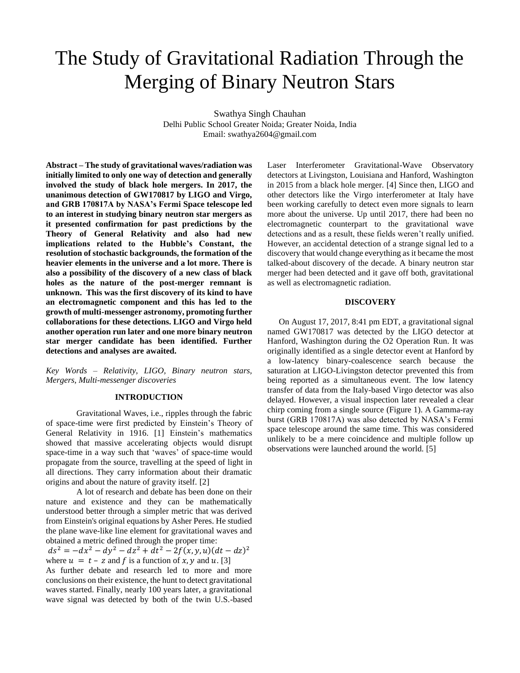# The Study of Gravitational Radiation Through the Merging of Binary Neutron Stars

Swathya Singh Chauhan Delhi Public School Greater Noida; Greater Noida, India Email: swathya2604@gmail.com

**Abstract – The study of gravitational waves/radiation was initially limited to only one way of detection and generally involved the study of black hole mergers. In 2017, the unanimous detection of GW170817 by LIGO and Virgo, and GRB 170817A by NASA's Fermi Space telescope led to an interest in studying binary neutron star mergers as it presented confirmation for past predictions by the Theory of General Relativity and also had new implications related to the Hubble's Constant, the resolution of stochastic backgrounds, the formation of the heavier elements in the universe and a lot more. There is also a possibility of the discovery of a new class of black holes as the nature of the post-merger remnant is unknown. This was the first discovery of its kind to have an electromagnetic component and this has led to the growth of multi-messenger astronomy, promoting further collaborations for these detections. LIGO and Virgo held another operation run later and one more binary neutron star merger candidate has been identified. Further detections and analyses are awaited.**

*Key Words* – *Relativity, LIGO, Binary neutron stars, Mergers, Multi-messenger discoveries*

#### **INTRODUCTION**

Gravitational Waves, i.e., ripples through the fabric of space-time were first predicted by Einstein's Theory of General Relativity in 1916. [1] Einstein's mathematics showed that massive accelerating objects would disrupt space-time in a way such that 'waves' of space-time would propagate from the source, travelling at the speed of light in all directions. They carry information about their dramatic origins and about the nature of gravity itself. [2]

A lot of research and debate has been done on their nature and existence and they can be mathematically understood better through a simpler metric that was derived from Einstein's original equations by Asher Peres. He studied the plane wave-like line element for gravitational waves and obtained a metric defined through the proper time:

 $ds^2 = -dx^2 - dy^2 - dz^2 + dt^2 - 2f(x, y, u)(dt - dz)^2$ where  $u = t - z$  and f is a function of x, y and u. [3]

As further debate and research led to more and more conclusions on their existence, the hunt to detect gravitational waves started. Finally, nearly 100 years later, a gravitational wave signal was detected by both of the twin U.S.-based Laser Interferometer Gravitational-Wave Observatory detectors at Livingston, Louisiana and Hanford, Washington in 2015 from a black hole merger. [4] Since then, LIGO and other detectors like the Virgo interferometer at Italy have been working carefully to detect even more signals to learn more about the universe. Up until 2017, there had been no electromagnetic counterpart to the gravitational wave detections and as a result, these fields weren't really unified. However, an accidental detection of a strange signal led to a discovery that would change everything as it became the most talked-about discovery of the decade. A binary neutron star merger had been detected and it gave off both, gravitational as well as electromagnetic radiation.

#### **DISCOVERY**

On August 17, 2017, 8:41 pm EDT, a gravitational signal named GW170817 was detected by the LIGO detector at Hanford, Washington during the O2 Operation Run. It was originally identified as a single detector event at Hanford by a low-latency binary-coalescence search because the saturation at LIGO-Livingston detector prevented this from being reported as a simultaneous event. The low latency transfer of data from the Italy-based Virgo detector was also delayed. However, a visual inspection later revealed a clear chirp coming from a single source (Figure 1). A Gamma-ray burst (GRB 170817A) was also detected by NASA's Fermi space telescope around the same time. This was considered unlikely to be a mere coincidence and multiple follow up observations were launched around the world. [5]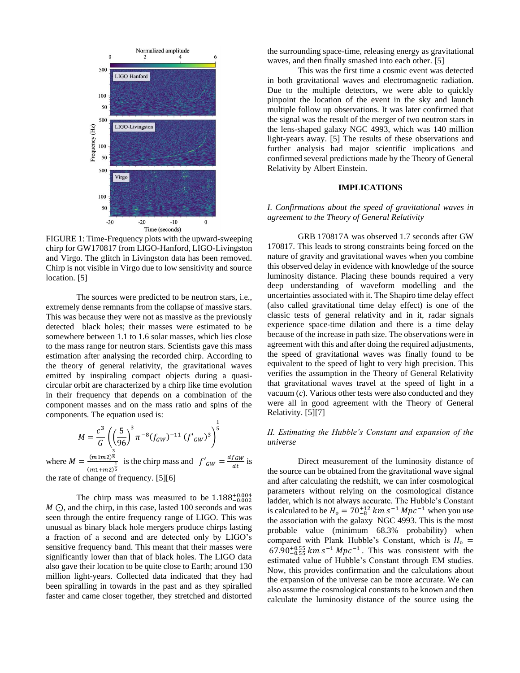

FIGURE 1: Time-Frequency plots with the upward-sweeping chirp for GW170817 from LIGO-Hanford, LIGO-Livingston and Virgo. The glitch in Livingston data has been removed. Chirp is not visible in Virgo due to low sensitivity and source location. [5]

The sources were predicted to be neutron stars, i.e., extremely dense remnants from the collapse of massive stars. This was because they were not as massive as the previously detected black holes; their masses were estimated to be somewhere between 1.1 to 1.6 solar masses, which lies close to the mass range for neutron stars. Scientists gave this mass estimation after analysing the recorded chirp. According to the theory of general relativity, the gravitational waves emitted by inspiraling compact objects during a quasicircular orbit are characterized by a chirp like time evolution in their frequency that depends on a combination of the component masses and on the mass ratio and spins of the components. The equation used is:

$$
M = \frac{c^3}{G} \left( \left( \frac{5}{96} \right)^3 \pi^{-8} (f_{GW})^{-11} (f'_{GW})^3 \right)^{\frac{1}{5}}
$$
  
where  $M = \frac{(m1m2)^{\frac{3}{5}}}{(m1+m2)^{\frac{1}{5}}}$  is the chirp mass and  $f'_{GW} = \frac{df_{GW}}{dt}$  is the rate of change of frequency. [5][6]

The chirp mass was measured to be  $1.188_{-0.002}^{+0.004}$ M ⊙, and the chirp, in this case, lasted 100 seconds and was seen through the entire frequency range of LIGO. This was unusual as binary black hole mergers produce chirps lasting a fraction of a second and are detected only by LIGO's sensitive frequency band. This meant that their masses were significantly lower than that of black holes. The LIGO data also gave their location to be quite close to Earth; around 130 million light-years. Collected data indicated that they had been spiralling in towards in the past and as they spiralled faster and came closer together, they stretched and distorted the surrounding space-time, releasing energy as gravitational waves, and then finally smashed into each other. [5]

This was the first time a cosmic event was detected in both gravitational waves and electromagnetic radiation. Due to the multiple detectors, we were able to quickly pinpoint the location of the event in the sky and launch multiple follow up observations. It was later confirmed that the signal was the result of the merger of two neutron stars in the lens-shaped galaxy NGC 4993, which was 140 million light-years away. [5] The results of these observations and further analysis had major scientific implications and confirmed several predictions made by the Theory of General Relativity by Albert Einstein.

# **IMPLICATIONS**

## *I. Confirmations about the speed of gravitational waves in agreement to the Theory of General Relativity*

GRB 170817A was observed 1.7 seconds after GW 170817. This leads to strong constraints being forced on the nature of gravity and gravitational waves when you combine this observed delay in evidence with knowledge of the source luminosity distance. Placing these bounds required a very deep understanding of waveform modelling and the uncertainties associated with it. The Shapiro time delay effect (also called gravitational time delay effect) is one of the classic tests of general relativity and in it, radar signals experience space-time dilation and there is a time delay because of the increase in path size. The observations were in agreement with this and after doing the required adjustments, the speed of gravitational waves was finally found to be equivalent to the speed of light to very high precision. This verifies the assumption in the Theory of General Relativity that gravitational waves travel at the speed of light in a vacuum (*c*). Various other tests were also conducted and they were all in good agreement with the Theory of General Relativity. [5][7]

## *II. Estimating the Hubble's Constant and expansion of the universe*

Direct measurement of the luminosity distance of the source can be obtained from the gravitational wave signal and after calculating the redshift, we can infer cosmological parameters without relying on the cosmological distance ladder, which is not always accurate. The Hubble's Constant is calculated to be  $H_0 = 70^{+12}_{-8}$  km s<sup>-1</sup> Mpc<sup>-1</sup> when you use the association with the galaxy NGC 4993. This is the most probable value (minimum 68.3% probability) when compared with Plank Hubble's Constant, which is  $H_0 =$  $67.90^{+0.55}_{-0.55}$  km  $s^{-1}$  Mpc<sup>-1</sup>. This was consistent with the estimated value of Hubble's Constant through EM studies. Now, this provides confirmation and the calculations about the expansion of the universe can be more accurate. We can also assume the cosmological constants to be known and then calculate the luminosity distance of the source using the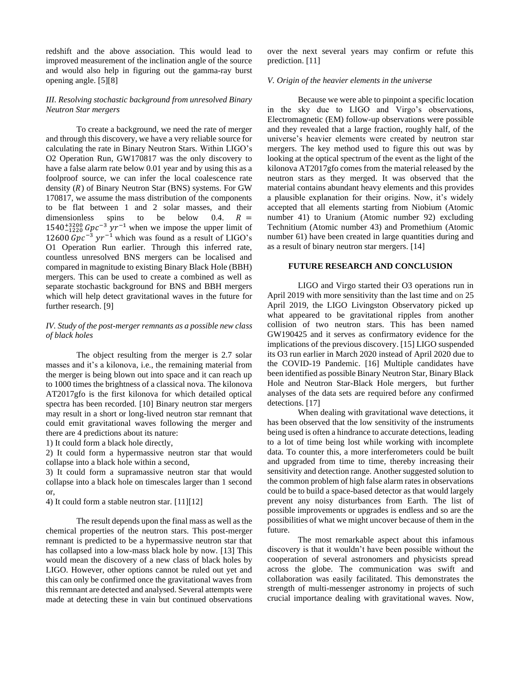redshift and the above association. This would lead to improved measurement of the inclination angle of the source and would also help in figuring out the gamma-ray burst opening angle. [5][8]

# *III. Resolving stochastic background from unresolved Binary Neutron Star mergers*

To create a background, we need the rate of merger and through this discovery, we have a very reliable source for calculating the rate in Binary Neutron Stars. Within LIGO's O2 Operation Run, GW170817 was the only discovery to have a false alarm rate below 0.01 year and by using this as a foolproof source, we can infer the local coalescence rate density  $(R)$  of Binary Neutron Star (BNS) systems. For GW 170817, we assume the mass distribution of the components to be flat between 1 and 2 solar masses, and their dimensionless spins to be below 0.4.  $R =$  $1540^{+3200}_{-1220}$   $Gpc^{-3}$   $yr^{-1}$  when we impose the upper limit of 12600  $Gpc^{-3}$  yr<sup>-1</sup> which was found as a result of LIGO's O1 Operation Run earlier. Through this inferred rate, countless unresolved BNS mergers can be localised and compared in magnitude to existing Binary Black Hole (BBH) mergers. This can be used to create a combined as well as separate stochastic background for BNS and BBH mergers which will help detect gravitational waves in the future for further research. [9]

# *IV. Study of the post-merger remnants as a possible new class of black holes*

The object resulting from the merger is 2.7 solar masses and it's a kilonova, i.e., the remaining material from the merger is being blown out into space and it can reach up to 1000 times the brightness of a classical nova. The kilonova AT2017gfo is the first kilonova for which detailed optical spectra has been recorded. [10] Binary neutron star mergers may result in a short or long-lived neutron star remnant that could emit gravitational waves following the merger and there are 4 predictions about its nature:

1) It could form a black hole directly,

2) It could form a hypermassive neutron star that would collapse into a black hole within a second,

3) It could form a supramassive neutron star that would collapse into a black hole on timescales larger than 1 second or,

4) It could form a stable neutron star. [11][12]

The result depends upon the final mass as well as the chemical properties of the neutron stars. This post-merger remnant is predicted to be a hypermassive neutron star that has collapsed into a low-mass black hole by now. [13] This would mean the discovery of a new class of black holes by LIGO. However, other options cannot be ruled out yet and this can only be confirmed once the gravitational waves from this remnant are detected and analysed. Several attempts were made at detecting these in vain but continued observations over the next several years may confirm or refute this prediction. [11]

#### *V. Origin of the heavier elements in the universe*

Because we were able to pinpoint a specific location in the sky due to LIGO and Virgo's observations, Electromagnetic (EM) follow-up observations were possible and they revealed that a large fraction, roughly half, of the universe's heavier elements were created by neutron star mergers. The key method used to figure this out was by looking at the optical spectrum of the event as the light of the kilonova AT2017gfo comes from the material released by the neutron stars as they merged. It was observed that the material contains abundant heavy elements and this provides a plausible explanation for their origins. Now, it's widely accepted that all elements starting from Niobium (Atomic number 41) to Uranium (Atomic number 92) excluding Technitium (Atomic number 43) and Promethium (Atomic number 61) have been created in large quantities during and as a result of binary neutron star mergers. [14]

# **FUTURE RESEARCH AND CONCLUSION**

LIGO and Virgo started their O3 operations run in April 2019 with more sensitivity than the last time and on 25 April 2019, the LIGO Livingston Observatory picked up what appeared to be gravitational ripples from another collision of two neutron stars. This has been named GW190425 and it serves as confirmatory evidence for the implications of the previous discovery. [15] LIGO suspended its O3 run earlier in March 2020 instead of April 2020 due to the COVID-19 Pandemic. [16] Multiple candidates have been identified as possible Binary Neutron Star, Binary Black Hole and Neutron Star-Black Hole mergers, but further analyses of the data sets are required before any confirmed detections. [17]

When dealing with gravitational wave detections, it has been observed that the low sensitivity of the instruments being used is often a hindrance to accurate detections, leading to a lot of time being lost while working with incomplete data. To counter this, a more interferometers could be built and upgraded from time to time, thereby increasing their sensitivity and detection range. Another suggested solution to the common problem of high false alarm rates in observations could be to build a space-based detector as that would largely prevent any noisy disturbances from Earth. The list of possible improvements or upgrades is endless and so are the possibilities of what we might uncover because of them in the future.

The most remarkable aspect about this infamous discovery is that it wouldn't have been possible without the cooperation of several astronomers and physicists spread across the globe. The communication was swift and collaboration was easily facilitated. This demonstrates the strength of multi-messenger astronomy in projects of such crucial importance dealing with gravitational waves. Now,